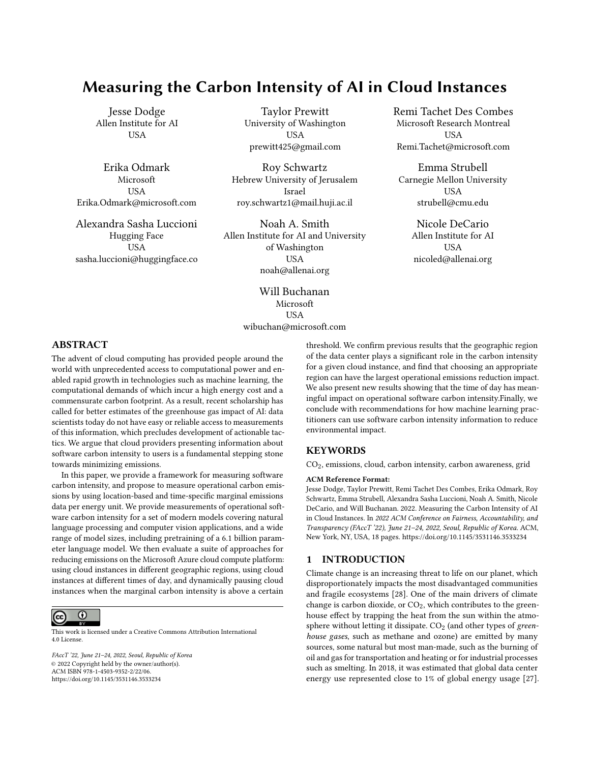# Measuring the Carbon Intensity of AI in Cloud Instances

Jesse Dodge Allen Institute for AI **USA** 

Erika Odmark Microsoft USA Erika.Odmark@microsoft.com

Alexandra Sasha Luccioni Hugging Face **USA** sasha.luccioni@huggingface.co

Taylor Prewitt University of Washington USA prewitt425@gmail.com

Roy Schwartz Hebrew University of Jerusalem Israel roy.schwartz1@mail.huji.ac.il

Noah A. Smith Allen Institute for AI and University of Washington USA noah@allenai.org

> Will Buchanan Microsoft USA wibuchan@microsoft.com

Remi Tachet Des Combes Microsoft Research Montreal **USA** Remi.Tachet@microsoft.com

Emma Strubell Carnegie Mellon University USA strubell@cmu.edu

> Nicole DeCario Allen Institute for AI **USA** nicoled@allenai.org

## ABSTRACT

The advent of cloud computing has provided people around the world with unprecedented access to computational power and enabled rapid growth in technologies such as machine learning, the computational demands of which incur a high energy cost and a commensurate carbon footprint. As a result, recent scholarship has called for better estimates of the greenhouse gas impact of AI: data scientists today do not have easy or reliable access to measurements of this information, which precludes development of actionable tactics. We argue that cloud providers presenting information about software carbon intensity to users is a fundamental stepping stone towards minimizing emissions.

In this paper, we provide a framework for measuring software carbon intensity, and propose to measure operational carbon emissions by using location-based and time-specific marginal emissions data per energy unit. We provide measurements of operational software carbon intensity for a set of modern models covering natural language processing and computer vision applications, and a wide range of model sizes, including pretraining of a 6.1 billion parameter language model. We then evaluate a suite of approaches for reducing emissions on the Microsoft Azure cloud compute platform: using cloud instances in different geographic regions, using cloud instances at different times of day, and dynamically pausing cloud instances when the marginal carbon intensity is above a certain



This work is licensed under a [Creative Commons Attribution International](https://creativecommons.org/licenses/by/4.0/) [4.0 License.](https://creativecommons.org/licenses/by/4.0/)

FAccT '22, June 21–24, 2022, Seoul, Republic of Korea © 2022 Copyright held by the owner/author(s). ACM ISBN 978-1-4503-9352-2/22/06. <https://doi.org/10.1145/3531146.3533234>

threshold. We confirm previous results that the geographic region of the data center plays a significant role in the carbon intensity for a given cloud instance, and find that choosing an appropriate region can have the largest operational emissions reduction impact. We also present new results showing that the time of day has meaningful impact on operational software carbon intensity.Finally, we conclude with recommendations for how machine learning practitioners can use software carbon intensity information to reduce environmental impact.

# **KEYWORDS**

CO2, emissions, cloud, carbon intensity, carbon awareness, grid

#### ACM Reference Format:

Jesse Dodge, Taylor Prewitt, Remi Tachet Des Combes, Erika Odmark, Roy Schwartz, Emma Strubell, Alexandra Sasha Luccioni, Noah A. Smith, Nicole DeCario, and Will Buchanan. 2022. Measuring the Carbon Intensity of AI in Cloud Instances. In 2022 ACM Conference on Fairness, Accountability, and Transparency (FAccT '22), June 21–24, 2022, Seoul, Republic of Korea. ACM, New York, NY, USA, 18 pages.<https://doi.org/10.1145/3531146.3533234>

#### 1 INTRODUCTION

Climate change is an increasing threat to life on our planet, which disproportionately impacts the most disadvantaged communities and fragile ecosystems [28]. One of the main drivers of climate change is carbon dioxide, or  $CO<sub>2</sub>$ , which contributes to the greenhouse effect by trapping the heat from the sun within the atmosphere without letting it dissipate.  $CO<sub>2</sub>$  (and other types of greenhouse gases, such as methane and ozone) are emitted by many sources, some natural but most man-made, such as the burning of oil and gas for transportation and heating or for industrial processes such as smelting. In 2018, it was estimated that global data center energy use represented close to 1% of global energy usage [27].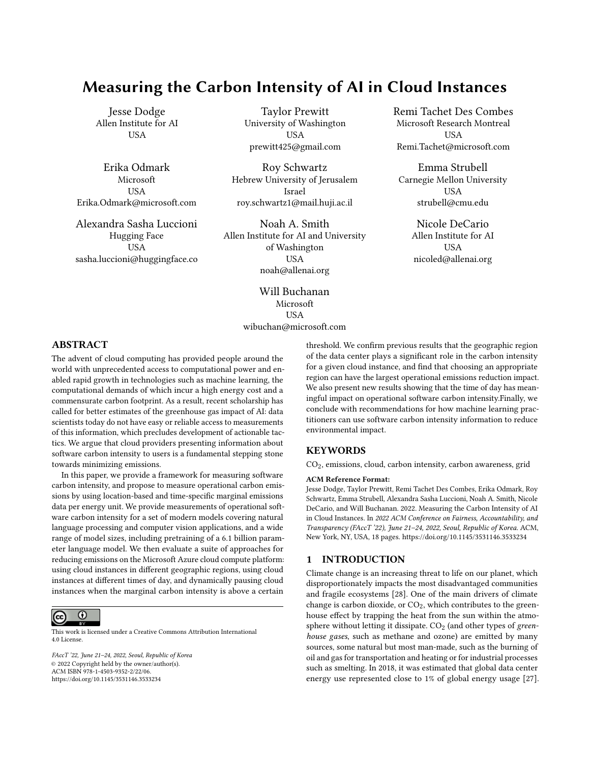While it is not yet known what proportion of data center use is for training artificial intelligence (AI) models, it is undeniable that AI and its sub-fields have grown dramatically in recent years, with no sign of slowing down [39, 43]. While a number of papers have addressed the CO<sub>2</sub> emissions produced by AI (e.g., [23, 26, 33, 34]), the extent and provenance of  $CO<sub>2</sub>$  emissions in the field is still under-explored. Nonetheless, a common theme of previous work is that it aims to estimate the emissions produced by training AI models, or carrying out the accompanying neural architecture search (NAS) process, based on coarse measures such as  $CO<sub>2</sub>$  emissions of electricity used in the region where the computations were carried out (e.g., [42]), or post-hoc analyses using information that is not publicly available (e.g., [34]).

With an increasing amount of AI model training being done on cloud compute instances, reducing the emissions generated by these workloads will be key to reducing our carbon footprint as a field. However, to reduce greenhouse gas emissions from cloud computing, we need consider the role of two types of actors: the cloud provider (such as Microsoft Azure, Google's GCP, or Amazon's AWS) and the user who reserves and uses cloud resources (e.g., an AI researcher training a model on a cloud instance, or a company hosting a website). Typically, the provider's motivation is to build a system where users can access the computing power and storage that best meets their needs. The user, on the other hand, is motivated by some end task which requires computing power, such as running a set of experiments or putting a model into production. Often the user will first consider the minimal computational requirements to achieve their goals, then later ease-of-use features relating to transfer speed or extra storage depending on available budget. Driven by these motivations, providers and users can each take actions to meet their goals: providers can build data centers and set up APIs to enable users' access and accounting, while users can choose their cloud provider, which region to use, and the number and type of cloud instances required for their end task at a given point in time. Based on these stakeholders and motivations, in this work we address the following research questions: 1) how should we measure and report operational carbon costs of AI workloads? And 2) can we shift computation spatially and temporally to mitigate emissions?

In this article, we introduce the first tool to estimate the real-time CO2 emissions impact of instances on a cloud computing platform. The tool calculates operational carbon emissions by using locationbased and time-specific marginal emissions data per energy unit. Using the tool, we explore several case studies on the Microsoft Azure cloud compute platform spanning the areas of natural language processing (NLP) and computer vision, estimating the carbon intensity of training a variety of commonly used machine learning models. We also explore two avenues for users of cloud instances to reduce their  $CO<sub>2</sub>$  using this tool by: (1) Changing the region of compute and (2) changing the time of day during which the model is run. While the former has been recognized by prior work [13, 23], we are the first to address the latter to the best of our knowledge. Further, our tool makes it possible to automatically schedule jobs in order to reduce their carbon footprint by leveraging these differences in carbon intensity due to time and geographic location. Finally, we provide guidance regarding what should be measured and how, following the Green Software Foundation's guidelines

regarding Software Carbon Intensity (SCI), and suggest future areas of research to improve the state of carbon estimation and reporting in AI.

#### 2 RELATED WORK

Attention was first drawn to the environmental impact of AI research by the seminal work of Strubell et al. [42], which quantified the emissions produced by training a Transformer model with Neural Architecture search, finding it to be comparable to the lifetime carbon emissions of five cars. Patterson et al. [34] presented some updated analyses of similar experiments, including popular architectures like T5 [35] and BERT [8], analyzing  $CO<sub>2</sub>$  emissions as a factor of their energy consumption, carbon intensity of training servers, etc. Other work such as Green AI [39] delved further into inequality of access to computational resources within the research community, and advocated for the inclusion of efficiency evaluation alongside accuracy as a primary evaluation criterion. Much existing and ongoing work on quantifying the environmental footprint of ML has been focused on estimating the  $CO<sub>2</sub>$  emissions of model training. This is a more straightforward endeavor compared to other stages both upstream and downstream from the training process, given that it is well-defined in time and its emissions can be measured in real-time with tools like Code Carbon [38] and Carbon Tracker [1] or estimated post-hoc using tools such as ML CO2 Impact Tracker [23]. Our tool builds upon this work by making carbon tracking on cloud instances possible, enabling a larger portion of ML model training work to profit from fine-grained carbon estimation. However, recent work has found that their results vary significantly and are not fully representative of the true emissions incurred by training [3]. Perhaps most similar to our work, EnergyVis [41] is an interactive tool for visualizing and comparing energy consumption of ML models as a function of hardware and physical location (U.S. state), given metadata about a model's energy use per epoch. Other studies have gone beyond simply tracking the emissions from training models, aiming to quantify the emissions resulting from manufacturing computing hardware [15], the broader impacts of sustainable AI [49], and the methodologies used to assess those impacts [21, 26]. Building upon this research, efforts have also been made to certify systems as being socially- and environmentally-conscious [14], working towards comparing both the environmental costs and potential benefits of AI models in order to paint a more holistic picture of AI.

Major technology companies have also been increasingly committed to reducing their emissions, largely via the purchase of Renewable Energy Credits (RECs), which involves directly buying quantities of energy produced by renewable sources, translating into carbon reductions under the assumption that the clean energy is displacing an equivalent amount of electricity produced by nonrenewable methods [11]. Many cloud providers, from Google Cloud Platform to Microsoft Azure, therefore claim that they are now "carbon-neutral," given that they offset the entirety of the emissions of their cloud centers, though we must be wary of the precise provenance of RECs, and the details of how each organization defines "zero" net emissions [36]. This is complemented by efforts to mitigate the actual  $CO<sub>2</sub>$  emissions of the compute regions themselves,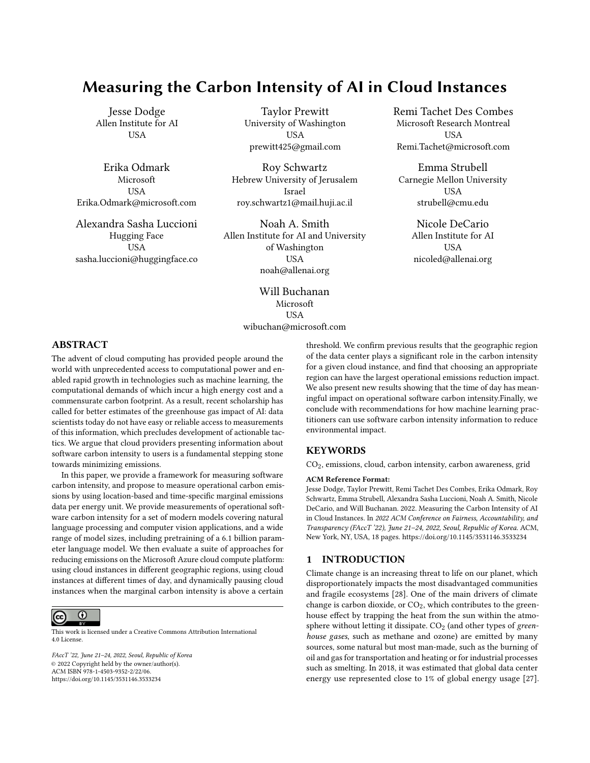with several server locations partially powered by renewable energy sources such as solar and wind [12, 29, 40] and giving users the necessary tools to pick compute regions with a smaller carbon footprint [13, 17], which are often tied to the amount of low-carbon energy that is being purchased, and not the grid emissions intensity. It is important to note that the decision on when and where to deploy a workload should be based on a grid emissions signal, not the amount of emissions offset through market-based measures (e.g., green power purchase agreements (PPAs), renewable energy certificates (RECs), or other carbon offset mechanisms): purchasing clean energy is not the same as consuming clean energy.

## 3 REPORTING AI CARBON INTENSITY

Carbon accounting and reporting is becoming increasingly common in ML, with conferences such as NeurIPS requesting that submissions report their emissions [31] and recent work reporting the emissions incurred [37, 44]. However, it has yet to become the norm in our field, and we are still lacking systematic information regarding the environmental footprint of training ML models and how we can reduce it. In this paper, we argue that if members of the ML community had access to information about the  $CO<sub>2</sub>$  emissions of their actions, they could adapt their decisions to reduce these emissions while still meeting the computational needs for their end tasks. In addition, providers building tools that enable users to track their CO<sub>2</sub> emissions directly aligns with providers' goals, as it will inform users' decisions without being overly burdensome. Any cloud provider that discloses this information to users will, in fact, be improving those customers' experiences, and likely increase usage of the platform. More specifically, we propose that, for a cloud user who wants to estimate their carbon footprint, the most salient information providers can report is the  $CO<sub>2</sub>$  emissions generated by their cloud instances. Arguably the single most important contribution of this paper is the simplest: a presentation of the software carbon intensity (SCI) as a proxy for carbon emissions for a given cloud instance as it is running.

## 3.1 Methodology: Computing CO<sub>2</sub> Intensity

In this section we describe a method for estimating carbon intensity for cloud instances. At a high level, this involves tracking electricity consumption of hardware related to a single cloud instance, and mapping that electricity usage to  $CO<sub>2</sub>$  emissions by using a gridbased carbon intensity.

As developed by the [Green Software Foundation,](https://github.com/Green-Software-Foundation/software_carbon_intensity/blob/dev/Software_Carbon_Intensity/Software_Carbon_Intensity_Specification.md) the Software Carbon Intensity (SCI) is a rate, carbon emissions per one functional unit, or R. The equation used to calculate the SCI value of a software system is therefore:

$$
SCI = {}^{11}E \tI^{\circ} + M^{\circ} \text{per } R \t(1)
$$

where:

 $E =$  Energy consumed by a software system. Specifically, we focus on energy consumption of Graphical Processing Units, or GPUs. The units used are kilowatt-hours (kWh).

 $I =$  Location-based marginal carbon emissions for the grid that powers the datacenter. [WattTime](https://www.watttime.org/) provides measurements of grams of carbon dioxide equivalent per kilowatthour of electricity (gCO<sub>2</sub>eq/kWh)

 $M =$  Embodied carbon (also referred to as "embedded carbon") is the amount of carbon emitted during the creation, usage, and disposal of a hardware device. When software runs on a device, a fraction of the total embodied emissions of the device is allocated to the software.

 $R =$  Functional unit. In this instance, we are defining the functional unit as one machine learning training job, but it is extensible to other scenarios.

The equation can be further refined to:

$$
SCI = {}^{1}O + M^{o} \text{ per } R \tag{2}
$$

where  $O = E$  / calculates the operational emissions based on energy consumption  $(E)$  multiplied by the location-based and timespecific carbon intensity measurement (I). Once more this can be further refined to simply:

$$
SCI = C \text{ per } R \tag{3}
$$

where  $C = O + M$  is the software carbon intensity for a given cloud instance. In this paper, we focus on measuring operational emissions O, and leave measurement and accounting for embodied emissions due to specialized ML hardware such as GPUs to future work (see §8).

The objective of the Green Software Foundation's Software Carbon Intensity (SCI) specification is to calculate and reduce a SCI score, based on carbon emissions reductions, rather than the currently-used market-based neutralization. Specifically, the SCI uses a "consequential" carbon accounting approach, which aims to quantify the marginal change in emissions caused by decisions or interventions. This differs from the commonly used "attributional" carbon accounting approach, which uses average carbon intensity data, meaning it does not provide the most actionable information to help reduce carbon emissions. Due to the myriad potential pitfalls of relying on market-based measures in place of actual reduction in emissions [36], it is not possible to reduce the SCI through carbon neutralization or carbon offsets. We assert that cloud providers should provide the SCI to developers and data scientists to help them make choices that reduce the carbon footprint of their ML workloads.

# 3.2 The Scope of our Tool: GPU Computation of a Single Cloud Instance

Data centers typically comprise many computer systems and hardware components, including storage, GPUs, CPUs, and networking components. We can break down the electricity usage for data centers into: 1) electricity that is used for a single cloud instance, and 2) electricity that is used for the benefit of the whole data center. In this work we focus on the former, a single cloud instance; because of this, a reader should understand that our estimates of the electricity consumption and emissions are underestimates.<sup>1</sup>

Electricity Consumption from a Single Cloud Instance. The most accurate and popular AI models today are typically (deep) neural networks, which are most performant on specialized, highly parallelized, and often energy-intensive hardware [43]. The most

 $^{\rm 1}$  There is related work on estimating and reducing the electricity of data centers in general, e.g., [10, 24].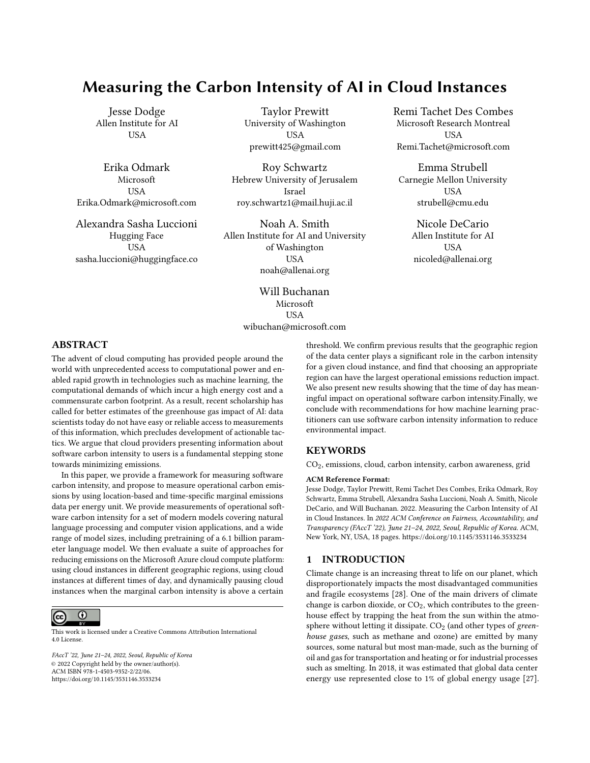common scenario is for AI workloads to run on graphics processing units (GPUs), which provide significant acceleration compared to CPUs (central processing units) but are more power-hungry (often consuming 250W-350W, compared to CPU consumption of 10-150W). Due to specialization to the matrix multiply operations at the core of neural network computations and a high rate of parallelization, GPUs can perform many more of these types of computations in the same amount of time as a CPU, but this increased computation throughput comes at an increased energy cost. Thus in ML applications based on deep learning, the majority of the electricity consumption is due to the GPU [5, 45]. While this result is fairly uncontroversial, we ran an experiment to confirm it. To do so, we trained a BERT-base model [8] on a single NVIDIA TITAN X GPU (12 GB) in a commodity server with two Intel Xeon E5-2630 v3 CPUs (2.4GHz) and 256GB RAM (16x16GB DIMMs) to measure the relative electricity consumption of different components. We trained the model using the original [code](https://github.com/google-research/bert) provided by Devlin et al. [8] on the language model pre-training task for 12 hours on one GPU, sampling the instantaneous energy use of the GPU, CPU and DRAM for each socket throughout that period, then averaging to get average power draw per component in watts. GPU energy draw was measured using [nvidia-smi](https://developer.nvidia.com/nvidia-system-management-interface) and CPU and DRAM power draw were obtained using Intel's [RAPL.](https://web.archive.org/web/20190116164417/https:/01.org/rapl-power-meter) Our measurements, in watts, are presented in Table 1. As expected the GPU accounts for almost 3/4 of electricity consumption.

| Hardwa.  |       | $GPU   CPU_0   CPU_1$ |       | $DRAM_0$ | $\mid$ DRAM <sub>1</sub> | <b>Total</b> |
|----------|-------|-----------------------|-------|----------|--------------------------|--------------|
| Watts    | 187.1 | 22.9                  | 9.3   | 23.0     | 9.3                      | 251.6        |
| Fraction | 74%   | $9\%$                 | $4\%$ | $9\%$    | 4%                       | 100%         |

Table 1: The electricity consumption, in watts and percentages, when training BERT base on a single NVIDIA TITAN X GPU (12GB), in a commodity server with two Intel Xeon E5- 2630 v3 CPUs (2.4GHz) and 256GB RAM (16x16GB DIMMs). Power consumption is averaged across instantaneous measurements over 12 hours of training on using the masked language modeling objective. The GPU alone accounts for 74% of the total energy consumption due to these components.

Focus on GPUs. In cloud datacenters, the CPUs, RAM, storage, and motherboards are often shared across multiple instances; while this provides the flexibility that makes the cloud so useful, it leads to technical limitations that make it difficult (and in some cases impossible) to properly estimate electricity consumption from these sources for a single instance. However, GPUs are typically not shared across instances, and in fact for large AI workloads it's often the case that multiple GPUs are attached to a single instance, leading to an even greater proportion of the total energy consumption being used by the GPUs. Thus, it is relatively easy to measure the GPU electricity consumption for a single instance, while it is not for other components. For this reason, and because they typically consume the majority of electricity in AI workloads, in this work we only measure GPU electricity consumption. We recognize this is a first

step towards a more complete measurement, and provide further discussion in the next section.<sup>2</sup>

Other sources of  $CO<sub>2</sub>$ . Data centers have a number of electricity uses that are important, but will not be covered by our tool. According to the U.S. Department of Energy: "The electricity consumed in these data centers is mainly by the equipment (50%) and HVAC (25%–40%)" [47]. Such other sources of emissions can be accounted for using methods such as Power Usage Effectiveness (PUE), which can be used to describe the proportion of electricity consumption by the computing equipment vs. other sources. For a given datacenter, this can be turned into a factor which can be multiplied against the electricity consumption of computing equipment to get an estimate of the total consumption. Some companies have highlighted particularly low PUEs, such as Google claiming a PUE of 1.10 across its fleet of data centers for the 12 months ending in Q1 2021, $3$  compared to an average global PUE of 1.59 [2].

Other factors, such as the emissions produced by maintenance workers driving to and from the data center, emissions from manufacturing the computer systems, and emissions from building the structure in which the data center is housed $^4$  are non-negligible but beyond the scope of this paper. Finally, for workloads that do not use GPUs (e.g., storage or web hosting) we recommend users choose low emissions regions and times of day, as they will not have access to single-instance emissions calculations. We leave it open for future research to address how to appropriately allocate CO2 emissions from such data center-wide processes to individual reserved cloud instances.

# 4 ELECTRICITY CONSUMPTION FOR AI WORKLOADS

As outlined in §3.1, calculating software carbon intensity begins with recording the electricity consumption, which can then be mapped to emissions based on the emissions of the grid being used. In this section, we present data on electricity consumption for experiments training 11 different models, covering natural language processing (NLP) and computer vision applications, ranging from less than an hour on a single GPU up to more than 8 days on 256 GPUs. We outline both the experiments themselves and their electricity consumption, and in the following section we use the electricity consumption and carbon intensity tool described in the previous section to calculate their software carbon intensity.

#### 4.1 NLP

BERT Training. We monitored the energy consumption while training a BERT-small model [8] for approximately 36 hours on 8 NVIDIA V100 GPUs. That training run consumed over 37 kWh of electricity.

BERT Finetuning. We tracked the energy consumption while finetuning the BERT-small model on a standard natural language inference task [48, MNLI] for approximately 6 hours on 4 NVIDIA

<sup>2</sup>We note that our conclusions drawn from experiments and analyses on time-shifting and location-shifting are still applicable with tools that measure more electricity than just the GPU.

<sup>3</sup><https://www.google.com/about/datacenters/efficiency/>

 $4$ One of the largest single source of CO<sub>2</sub> emissions, contributing to 7%-8% of global emissions, is the production of cement [20].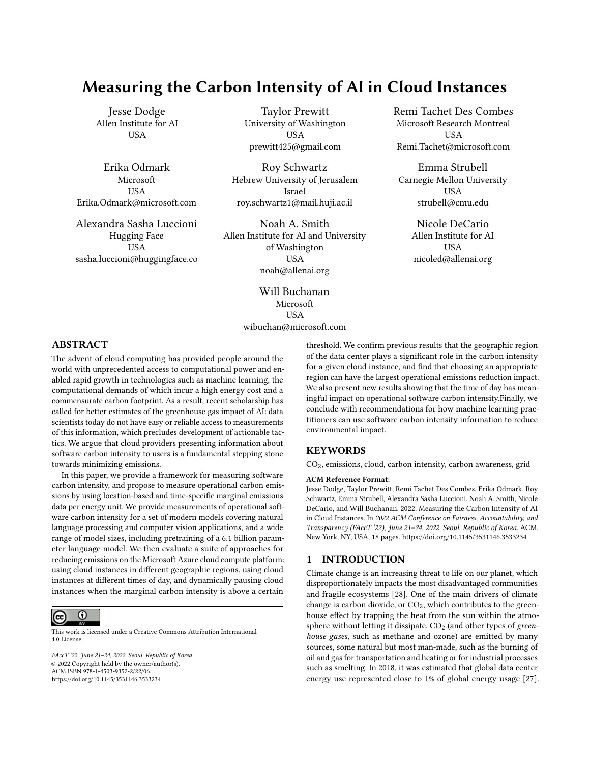| Model | <b>BERT</b> | <b>BERT</b> | 6В       | Dense | Dense           | Dense           | ViT  | ViT              | ViT  | ViT    | ViT                |
|-------|-------------|-------------|----------|-------|-----------------|-----------------|------|------------------|------|--------|--------------------|
|       | finetune    | pretrain    | Transf.  | 121   | 169             | 201             | Tiny | Small            | Base | Large  | Huge               |
| GPU   | 4 V100      | 8 V100      | 256 A100 | P40   | P <sub>40</sub> | P <sub>40</sub> | V100 | V <sub>100</sub> | V100 | 4 V100 | 4 V <sub>100</sub> |
| Hours |             | 36          | 192      | 0.3   | 0.3             | 0.4             | 19   | 19               | 21   | 90     | 216                |
| kWh   | 3.1         | 37.3        | 13.812.4 | 0.02  | 0.03            | 0.04            | 17   | $2.2\,$          | 4.7  | 93.3   | 237.6              |

Table 2: For the 11 models in our analysis: the type of GPU, the number of GPUs of that type, the number of hours, and the energy used in kWh. For example, our BERT language modeling (BERT LM) experiment used 8 V100 GPUs for 36 hours and used a total of 37.3 kWh. We note our training run of the 6 billion parameter transformer only trained for approximately 13% of the time it would take to train to completion, we estimate a full training run would consume approximately 103,593 kWh.

V100 GPUs. Our finetuning run consumed around 3.2 kWh of electricity, i.e., less than one tenth that due to BERT-small pre-training.

6 Billion Parameter Transformer. We tracked the energy consumption of training a large language model comprising over 6.1 billion parameters during 8 days on 256 NVIDIA A100s. The total energy amounted to a staggering 13.8 MWh. This model was not trained to completion, but only until 13%; a full training run would take 60 days. Thus, we estimate the total energy consumption to train this model to completion would be approximately  $160 \cdot 8^{\circ}$  13.8 = 103.5 MWh, or 103,500 kWh — almost 2800 times more than training the BERT-small model!

#### 4.2 Computer Vision

DenseNets. We trained three sizes of DenseNets [19] on MNIST [25]. The jobs lasted between 20 and 25 minutes and consumed between 20 and 38Wh (or 0.02 to 0.04 kWh) of electricity, which is negligible compared to the other models.

Vision Transformers. We evaluated the energy consumption during the training of five sizes of Vision Transformers [9] on ImageNet [7]. For the smallest ViT experiment (ViT tiny), training lasted around 19 hours on a single V100 and consumed approximately 1.7 kWh. For the largest one (ViT huge), training lasted more than 9 days on a 4 V100s and consumed approximately 237 kWh. The full list of models can be found in Table 2.

## 5 EMISSIONS BY REGION AND TIME OF DAY

Using the methodology presented above, we provide some of the first measurements of the differences of actual datacenters from a major cloud provider. Importantly, what we have is a time series of marginal emissions: for example, if a job were to run from 1 pm to 5 pm in the US West region with a cloud instance that has four fully-utilized GPUs, both the energy consumed and the marginal carbon intensity during that time is what we want to record. This time-series data can estimate the cumulative emissions for that experiment at the end.

#### 5.1 Region

How much does the choice of datacenter region impact the emissions? And for a single region, how much variation occurs throughout the year? We address these questions in Figure 1, which shows carbon emissions that would be emitted from training BERT (see §4 for more details) on 8 V100 GPUs for 36 hours in 16 different regions (one region per line) at different times throughout the year.

What do emissions look like across the 11 experiments described in §4? In Figure 2 we show results for all 11 experiments, which cover two BERT experiments (finetuning and language modeling), partial training of a 6.1 billion parameter Transformer, 3 sizes of DenseNets, and five sizes of Vision Transformers. Each experiment is represented by a vertical blue bar showing the range of emissions that would be emitted for that experiment across different regions. The top of the blue bar is the emissions from running that experiment in the region with the most emissions, the bottom is the emissions from running that experiment in the region with the least emissions, the black line represents the average, and the light blue regions are the top and bottom quartiles.

In Figure 2 we also include estimates of equivalent sources of emissions per the United States Environmental Protection Agency [46]. One phone charge is estimated to emit 8.22  $\pm$  10<sup>6</sup> metric tons (using US national weighted average CO2 marginal emission rate for delivered electricity), one mile driven is estimated to emit 3.98  $10^{-4}$ metric tons (using average US passenger vehicle, which gets 22.5 miles per gallon of gasoline), one gallon of gasoline consumed is estimated to emit 8.887 10<sup>3</sup> metric tons, one barrel of crude oil consumed is estimated to emit <sup>0</sup>.<sup>43</sup> metric tons, one average US home energy use is estimated to emit <sup>8</sup>.<sup>30</sup> metric tons (using the sum of emissions from generating electricity, natural gas, liquid petroleum, and fuel oil), and one rail car of coal is estimated to emit <sup>181</sup>.<sup>29</sup> metric tons.

The largest experiment in our set is the 6 billion parameter transformer, and that model is only partially trained (as described in §4, it is only trained for about 13% of the time needed to converge). Even partially trained, experiments of this size can emit more  $CO<sub>2</sub>$ than all emissions from the average US home for a year (which includes emissions from electricity generation, natural gas, liquid petroleum gas, and fuel oil, totaling 8.3 metric tons  $CO<sub>2</sub>$  per year). Perhaps unsurprisingly, even the most efficient region of those we examined for that experiment still leads to more emissions than a full barrel of oil. If this had been trained to completion, we estimate it would have emitted 21 to 78 metric tons of  $CO<sub>2</sub>$  (depending on the region it was run in).

Comparing against previous work on measuring emissions can be challenging without full information about data and model parallelism, GPU utilization, the number of weight updates, and other relevant factors; while we don't have experiments covering the same models as previous work on estimating  $CO<sub>2</sub>$ , we can make approximate comparisons along three dimensions: a) kWh per GPU hour, b)  $CO<sub>2</sub>$  grams per GPU hour, and c)  $CO<sub>2</sub>$  grams per kWh. Here we compare against [34] and [33] which report information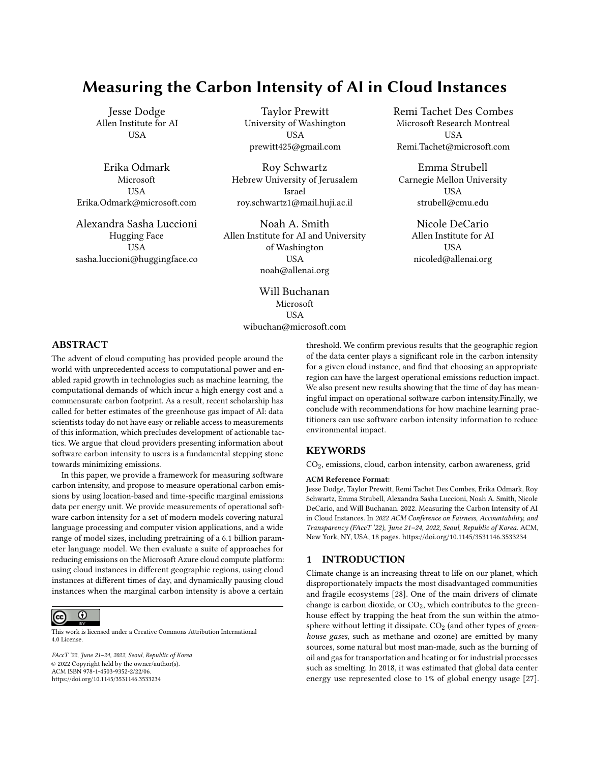

**CO2 Grams Emitted, BERT Language Modeling** 

Figure 1: Carbon emissions that would be emitted from training BERT (language modeling on 8 V100s for 36 hours) in 16 different regions (one region per line) at different times throughout the year. Each line is relatively flat, indicating the emissions in a single region during different months are relatively similar. There is large variation between the least carbon-intensive regions (the lowest lines) compared to the most carbon-intensive regions (the top lines), indicating that choosing the region in which experiments run can be very impactful ( 7k grams vs. 26k grams, for the most efficient vs. least efficient regions).

about training especially large models. Their estimates also include additional sources of  $CO<sub>2</sub>$ , like PUE (Power Usage Effectiveness) of their datacenters, so we expect their kWh per GPU hour and  $CO<sub>2</sub>$ per GPU hour to be higher than our estimates (which only count the GPU electricity consumption).

Across our experiments, we find kWh per GPU hour to range from 0.07 to 0.28, compared to Patterson et al. [34] with 0.22 to 0.47, and Patterson et al. [33] with 0.36. We find  $CO<sub>2</sub>$  (grams) per GPU hour in the most efficient region to average 34, and in the least efficient region to average 128, where Patterson et al. [34] found a range of 63 to 202, and Patterson et al. [33] found 32. We find  $CO<sub>2</sub>$  (grams) per kWh in the most efficient region to average 200, and in the least efficient region to average 755. The estimates from Patterson et al. [34] range between 427 and 545 (except GShard 600B with 200), and Patterson et al. [33] found 88. In short, we find most of their estimates to be within the range of ours, with the exception of Patterson et al. [33], which specifically aimed to choose a region that was more  $CO<sub>2</sub>$  efficient.

#### 5.2 Time of Day

While the choice of region is a major source of variation in  $CO<sub>2</sub>$ emissions, diurnal variations also play a significant role. During the day, a region may have a higher mix of renewable energy or fossil-fuel based source [6]. As one can see in Table 3, depending on the day, starting the BERT finetuning at, e.g., midnight instead of 6:00 can result in carbon emissions increasing by up to 8%. The amount of variation varies by region and time of year as well.

#### 6 OPTIMIZING CLOUD WORKLOADS

We use the tools presented so far to evaluate two algorithms for reducing emissions of AI workloads on the Microsoft Azure cloud compute platform using temporal shifting. We consider sixteen regions where workloads can be scheduled on Azure: nine in North America, six in Europe and one in Australia (see Figure 3). For each region, we obtained from WattTime the historical marginal carbon emissions for the year 2020 at a 5-minute granularity. We also measured the electricity consumption per 5-minute intervals of the various models introduced in §4. The two optimization methods we studied are:

Flexible Start. Start the workload at the time, in the next N hours, that minimizes its carbon emissions. Once the workload is launched, it is run until completion. Implementation: Consider all possible start times (in 5 minute increments) in the desired window. For each start time, compute the job's corresponding emissions and pick the lowest.

Pause and Resume. Assuming the workload can be stopped and restarted (a fairly weak constraint), run its computations over the next  $\frac{1}{N}$  + job duration<sup>o</sup> hours while minimizing its total carbon emissions. This involves pausing and resuming the job, possibly multiple times, to avoid consuming energy when carbon intensity is high. Implementation: Find the 5 minute intervals with the lowest marginal emissions during the  $\frac{1}{N}$  + job duration<sup>o</sup> hour window, and select enough intervals to add up to the job duration. Then simulate running the job only during those intervals and compute the corresponding emissions. We explored two sets of values for N: one absolute, corresponding to increasing the total duration of the job by at most {6, 12, 18, 24} hours; and a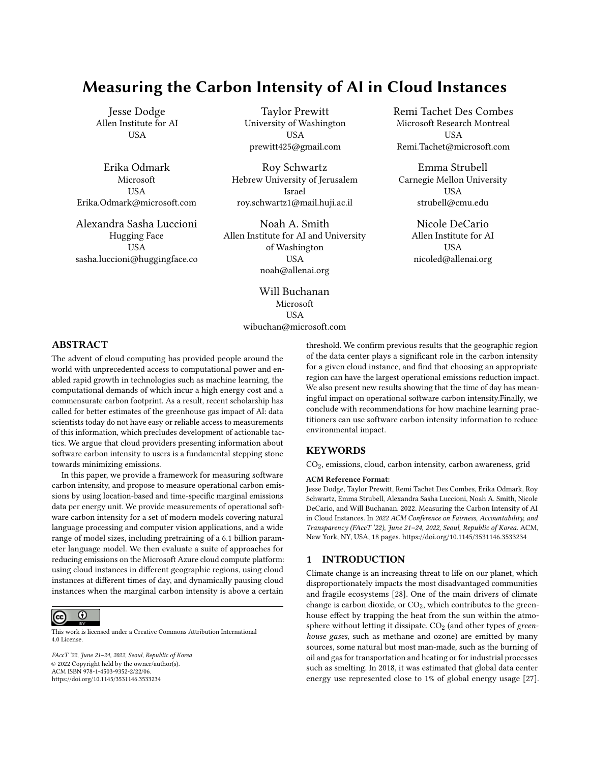

**Emissions of 11 models** 

Figure 2: Emissions for our 11 experiments described in §4. For each model we show a vertical blue bar, where the top of the bar is the max, the bottom is the min, and the black line represents the average emissions (across regions and time of year). First and fourth quartiles are represented by the light blue at the top and bottom of each vertical blue bar. The largest training runs (e.g., 6 billion parameter LM) releases a significant amount of emissions, no matter the region (and recall the 6 billion parameter LM is only trained for 13% of a full run, so a full run would emit about an order of magnitude more emissions than reported here). The smallest experiments emit very little. Presented on a log scale, with references on the right indicating equivalent sources of emissions per the United States Environmental Protection Agency [46].

|             |                                                                                   |                                                                        | Hour $\parallel$ 0:00   03:00   06:00   09:00   12:00   15:00   18:00   21:00 |  |  |  |  |
|-------------|-----------------------------------------------------------------------------------|------------------------------------------------------------------------|-------------------------------------------------------------------------------|--|--|--|--|
| <b>BERT</b> | Central    Day 1    2,381   2,341   2,210   2,252   2,354   2,391   2,410   2,403 |                                                                        |                                                                               |  |  |  |  |
| finetune    | US.                                                                               | Day 2   2,330   2,249   2,204   2,299   2,320   2,317   2,339   2,344  |                                                                               |  |  |  |  |
|             |                                                                                   | Day 3    2,430   2,339   2,257   2,313   2,393   2,374   2,317   2,331 |                                                                               |  |  |  |  |

Table 3: How do emissions vary throughout different times of day? We present the emissions produced by the BERT finetuning experiment described in §4 had it run at different times in the Central US region, on three separate days.

second one relative, where we allow the job to increase in duration by at most {25%, 50%, 75%, 100%}. In other words, for the second set, we allow the workload to last for at most twice its duration had it not been stopped. While arbitrary, we motivate the choice of those two sets by the extreme range of possible job duration (from minutes to weeks). Note that we assume pausing and restarting the job is immediate and does not consume additional energy: this is similar in spirit (for carbon emissions) to Spot Instances on existing

cloud platforms which automatically pause an instance if its price rises above a threshold set by the user.

We find the region that the algorithms are evaluated in has a significant impact. For example, the region we labeled West US varies frequently throughout a single day between periods of high emissions and very low emissions, and thus Pause and Resume can lead to significant reductions. However, other regions do not present as much variance, and thus lead to less reduction in emissions. See Figures 3 and 4. The lack of geographic diversity in the region list is an unfortunate consequence of the unavailability of carbon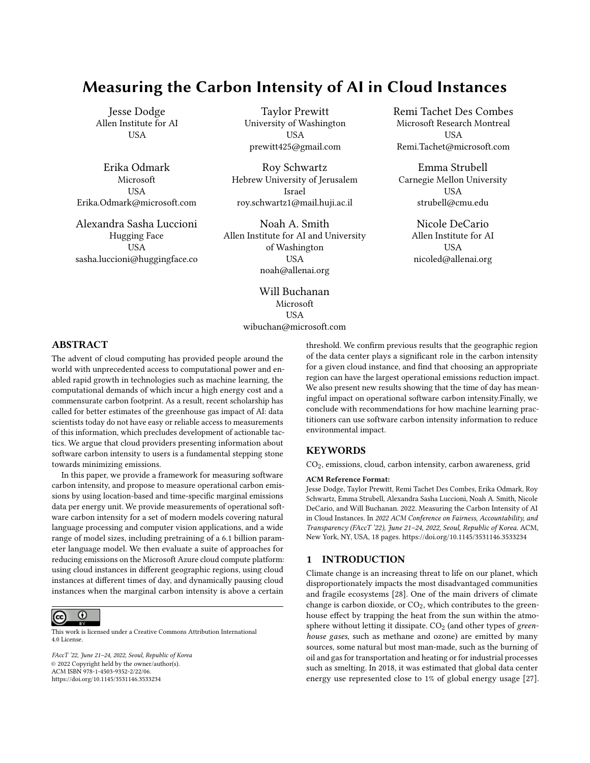

Figure 3: What proportion of emissions can we expect to save if we change the start time by up to 24 hours? For very short experiments like DenseNet 201 (a), which ran for less than half an hour, we can find significant reduction, greater than 30% in multiple regions, and up to 80% in West US; for very long runs like training a 6 billion parameter language model for 8 days (b), changing the start time by up to 24 hours leads to less than 1.5% reduction at best in any region. Note: we confirmed with WattTime that emissions estimates for West US were correct, that region has large variance.

intensity data from other continents; we hope such data becomes broadly available in the near future.

# 6.1 Evaluation of Emissions Reduction Algorithms

We evaluate how the two optimization algorithms would impact the emissions from the 11 experiments described in §4. In order to account for daily variations (weather, electricity demand, etc.), we report the average emissions decrease computed over 5 different start times in each month, giving a total of 60 data points.

#### 6.1.1 Emissions Reduction by Region.

Flexible Start. When evaluating the Flexible Start algorithm for a fixed duration between 6 hours and 24 hours, we find significant emissions reductions for shorter jobs (e.g., the DenseNet experiments), with minimal savings for jobs that are longer than a day; this aligns with our expectations, as short jobs can be run when emissions are lowest throughout a day, but long jobs naturally average across multiple days. See Figure 3, with results for all experiments in the appendix. This analysis is designed to highlight a use case where an AI workload needs to run regularly, but the practitioner has some flexibility on when it runs (so it could, e.g., run over night, if that is when carbon intensity is lowest). This is in fact a common use case in production ML systems deployed at companies, where models are re-trained on a regular schedule to incorporate new data over time [16].

Pause and Resume. When evaluating the Pause and Resume algorithm for durations up to 100% of the duration of the original experiment, we find the opposite of the Flexible Start result: short experiments like DenseNet 201 only see emissions reductions smaller than 10%, while the 6 billion transformer training run (our experiment with the largest carbon intensity) actually sees the largest decrease in emissions. See Figure 4 for two examples, with results

for all 11 experiments in the appendix. This analysis is designed to highlight a use case where an AI workload can be increased in duration by some proportion of the original run time.

6.1.2 Comparable Duration Increases. In the previous section we examined the amount of emissions reduction for our two algorithms by region, and compared Pause and Resume increasing duration by a proportion of the original experiment and Flexible Start by a fixed duration. Here we evaluate the two algorithms when they increase the duration of an AI workload by the same amount (each result is averaged across all regions and times of year). One can think of the Flexible Start algorithm as a version of Pause and Resume where there is only one start time, and no pausing allowed; thus we should expect the Flexible Start results to always lower bound the Pause and Resume ones.

We show results for both algorithms and two situations: increasing the duration of the run by 24 hours in Table 4, and by 100% in Table 5. In these tables we also include information about the average number of pauses per hour for the Pause and Resume algorithm. Perhaps surprisingly, we find the average number of pauses is quite low. This can be interpreted as the number of times the carbon intensity crosses above the threshold minimizing total emissions being small.

Note that the above optimizations were performed using historical data, meaning that their results are the best achievable, assuming access to an oracle predicting carbon intensity perfectly. [WattTime](https://www.watttime.org/api-documentation/#emissions-forecast) currently provides marginal emission rate estimates and forecasts for up to 24 hours, so for short workloads, our findings will reflect gains observed in practice using the forecasts. For longer workloads, our numbers give an upper bound on the realizable gains. For example, the Pause and Resume algorithm pauses the workload when emissions are above a threshold, and resumes when emissions are below that threshold. In our evaluation here we set this threshold such that the total run time is increased by, e.g., 24 hours; a machine learning practitioner would have to estimate how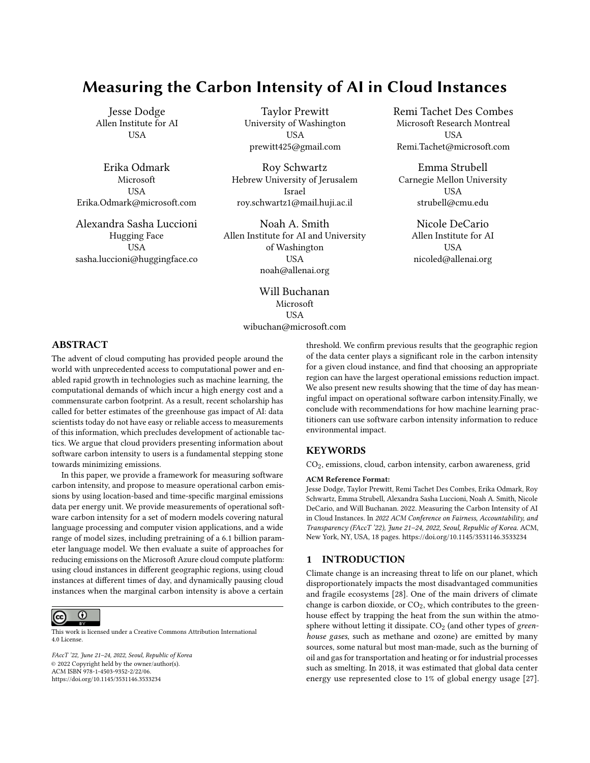

(a) Pause and Resume optimization for Dense 201.

(b) Pause and Resume optimization for 6B parameters Transformer.

Figure 4: What proportion of emissions can we expect to save if we pause an AI workload when emissions in a region are high and resume when emissions are low, increasing the total duration by up to double the original duration? For short experiments, the doubled duration is still relatively short, and thus leads to minimal emissions reduction (see DenseNet 201 in (a)); for very long runs like our 6 billion parameter language model training run in (b), which ran for 8 days, doubling the duration can lead to significant savings up to about 25%. We confirmed with WattTime that emissions estimates for West US were correct, as that region has large variance.

| Model       | <b>BERT</b> | <b>BERT</b> | 6B      | Dense | Dense | Dense | ViT   | ViT   | ViT   | ViT   | ViT  |
|-------------|-------------|-------------|---------|-------|-------|-------|-------|-------|-------|-------|------|
|             | finetune    | LM          | Transf. | 121   | 169   | 201   | Tiny  | Small | Base  | Large | Huge |
| FS          | 14.5%       | 3.4%        | 0.5%    | 26.8% | 26.4% | 25.9% | 5.6%  | 5.3%  | 4.2%  | 1.3%  | 0.5% |
| P&R         | 19.0%       | 8.5%        | 2.5%    | 27.7% | 27.3% | 27.1% | 12.5% | 12.3% | 11.7% | 4.7%  | 2.4% |
| Pauses / hr | 0.23        | 0.3         | 0.15    | 0.06  | 0.07  | 0.08  | 0.3   | 0.3   | 0.3   | 0.23  | 0.14 |

Table 4: For the 11 models in our analysis: the gain in percent averaged over the year and across the 16 regions for the Flexible Start (FS) and Pause and Resume (P&R) optimizations allowing for a 24h increase in job duration. The last line represents the average number of pauses per hour performed by the P&R optimization.

much a particular threshold would increase job duration, but would not know exactly. The dynamic nature of the Pause and Resume optimizations suggests that well-designed scheduling algorithms should be able to get rather close to the upper-bound. We leave such algorithms to future work and hope our tools can inspire further research into that type of scheduling. Moreover, it is likely that carbon intensity forecasting will improve over the years and eventually extend beyond 24 hours, allowing time-shifting decisions to become increasingly accurate.

# 7 CONSIDERATIONS FOR MODEL DEVELOPMENT AND DEPLOYMENT

Generally speaking, we advocate that researchers and practitioners record and report the amount of emissions incurred by ML projects, starting with the initial exploratory training phases all the way through hyperparameter tuning and deployment for the final model. This can inform an Operational Lifecycle Analysis (OLCA) for a machine learning model, which would account for all phases of the ML lifecycle. In the subsections below, we outline some ways in which the proposed tool can be used at different stages of the model development and deployment process, and describe some

environmental impacts due to ML modeling that are outside the scope of measurement of this tool.

We see various ways in which our tool can help guide model training, for instance via carbon-informed optimization (similarly to what [22] proposed for energy efficiency in federated learning), or for cloud-based recommendations that enable users to opt-in for carbon-aware configurations (in terms of region, time, etc.) to reduce the carbon intensity of their training workloads. We believe that tracking and reducing greenhouse gas emissions can be a very important feature for users deciding on how they will set up their cloud usage, but we recognize that there are natural trade-offs that must be considered. We therefore recommend that the measurements provided by our tool be used to guide informed decisions alongside other considerations as part of a holistic approach, and not as a single gold standard to optimize against. For example, even just within the scope of ML model development, it often takes engineering time to optimize a workload to be more efficient (i.e., use less computational resources), and a user should consider whether that time would be better spent elsewhere (e.g., transferring the workload to another region with lower average emissions). Furthermore, some projects have strict time constraints, and so scheduling jobs to only run at night would significantly delay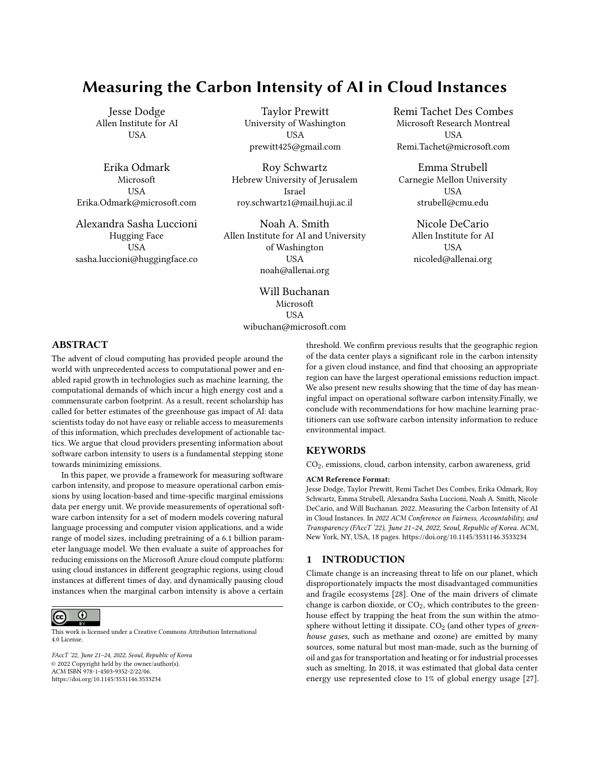| Model           | <b>BERT</b> | <b>BERT</b> | 6В      | Dense   | Dense | Dense | ViT     | ViT   | ViT   | ViT   | ViT   |
|-----------------|-------------|-------------|---------|---------|-------|-------|---------|-------|-------|-------|-------|
|                 | finetune    | LM          | Transf. | 121     | 169   | 201   | Tiny    | Small | Base  | Large | Huge  |
| FS              | 7.0%        | 4.1%        | 2.6%    | 1.8%    | 2.5%  | 2.7%  | $5.0\%$ | 4.8%  | 3.9%  | 3.3%  | 3.0%  |
| P&R             | 9.5%        | 11.0%       | 11.4%   | $2.0\%$ | 2.8%  | 3.1%  | 1.0%    | 11.0% | 10.8% | 11.4% | 11.3% |
| hr.<br>Pauses / | 0.42        | 0.29        | 0.27    | 1.5     | .88   | 2.0   | 0.31    | 0.32  | 0.31  | 0.27  | 0.26  |

Table 5: For the 11 models in our analysis: the gain in percent averaged over the year and across the 16 regions for the Flexible Start (FS) and Pause and Resume (P&R) optimizations allowing for a 100% increase in job duration. The last line represents the average number of pauses per hour performed by the P&R optimization.

progress, potentially leading to more emissions in other parts of the project. Thus, our suggestions are not meant as a one-size-fits-all solution which will eliminate carbon emissions, but instead as a set of options which can be referenced by users and decided upon on a case-by-case basis. Finally, there are also many additional upstream and downstream emissions considerations due to the ML model lifecycle, due to, e.g., hardware manufacturing and downstream uses or misuses of the model, that could eclipse the direct emissions due to model training alone. See §2 for further discussion of this crucial point.

Another important consideration is operating cost; it could be the case that Region A is lower emissions but higher cost than Region B for a particular workload, and thus a user could run their workload in Region B and have some budget left over that could be used for other reductions in emissions. A final consideration is cost of data transfer; it could be the case that Region A is lower emissions and monetary cost than Region B for a particular workload, but the energetic, environmental, or monetary cost of moving the data could exceed the benefits gained.

If we see broad adoption of such reporting tools, we may see increases in cloud use in regions which have low emissions. In such a scenario, providers could be incentivized to build new data centers, and providers should consider the local impact of such construction.

#### 8 FUTURE DIRECTIONS

As mentioned in §7, single-instance emissions are a well-defined starting place for quantifying, mitigating, and reducing the environmental impact due to ML, but do not present a complete picture of the total emissions that should be accounted for when considering the overall carbon emissions of the ML life cycle. Here are some aspects that are yet to be accounted for (and in some cases, yet to be defined) in terms of the overall OLCA of machine learning:

Scopes of emissions. The [Greenhouse Gas Protocol \(GHGP\)](https://ghgprotocol.org/) is a standard created by the World Resources Institute and the Business Council for Sustainable Development, and has seen broad adoption internationally. It defines Scope 1, Scope 2, and Scope 3 emissions as follows: Scope 1 emissions are those generated by direct actions of a company, such as running motor vehicles; Scope 2 emissions are those associated with purchase of electricity, steam, heating, or cooling; and Scope 3 emissions are those that the company indirectly participates in, such as those due to investments of the company and downstream use of products. In the present work, we have focused on the Scope 2 emissions incurred due to electricity

usage by cloud providers. The current GHGP Scope 2 is an attributional guidance that precludes the use of marginal emissions rates, and primarily focuses on broad generation-based average rates. It is important to note that the GHGP Scope 2 guidance is incompatible with the proposed method; this paper illustrates the need to revisit the Scope 2 guidance to better align with consequential accounting methods.

We do not cover the Scope 1 emissions (e.g. emissions that directly result from business activities, such as stationary combustion of fuels for backup power generation in cloud datacenters), for a more detailed discussion see e.g. Gupta et al. [15], nor the Scope 3 emissions (e.g. emissions that indirectly result from all other business activities, such as those associated with the upstream raw materials extraction, manufacturing, and delivery of cloud-based IT asset infrastructure such as servers from suppliers to be used in a cloud provider's datacenters). Both of these types of emissions warrant discussion and debate by the AI community— and indeed some work has begun on the subject, e.g., [21, 26]—but we are missing a more concrete structure for categorizing, quantifying and mitigating the different scopes of emissions in our field. This would involve the active participation of specific stakeholders to establish the tooling and reporting required to better estimate these aspects, which is a challenge in itself.

Developing certification systems for "Green AI". While initiatives like the Green Software Foundation are making important progress towards measuring and mitigating the carbon footprint of software in general, the decentralized and data-driven nature of ML will call for specific approaches and guidelines to ensure its efficiency. We anticipate that AI-specific initiatives, spanning both research and academia, will help establish certification systems (or badge systems) that will allow both model developers and users make more informed choices with regards to sustainability. The current framing of Scopes 1, 2, and 3 may not encompass all the emissions reasonably associated with an AI program.

Improving the carbon transparency of research and practice. Despite the existence of tools such as Code Carbon [38] and EvergyVis [41], both carbon estimation and reporting in ML publications and technical reports remain a relatively rare phenomenon. Conferences such as NeurIPS and NAACL have recently added emissions reporting as an optional part of the submission process; however, more encouragement will be necessary for this to become commonplace. Gathering more data about the environmental impact of our field is a crucial step towards identifying room for improvement and, eventually, reducing our emissions.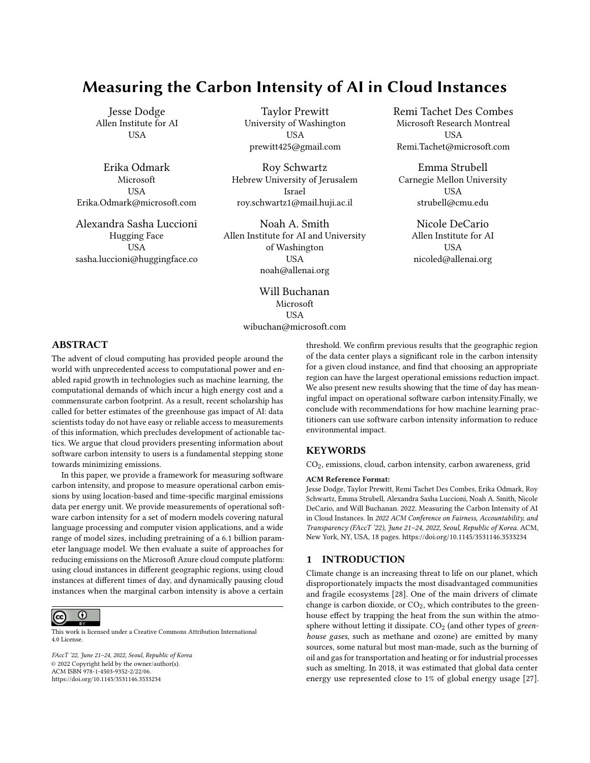Supporting improved estimates of emissions rates. The estimates of emissions rates providers would benefit from more and better data being provided by electric system operators. This is particularly true in areas of the world where it is currently not possible to produce hourly marginal estimates.

Reducing AI's scope-enabled emissions. Responsible development and application of AI must account not only for the hidden costs of development, as discussed in this paper, but for the positive or negative carbon impact the application enables. AI models continue to be used for oil exploration [32], deforestation [30], and mining [18], among other environmentally-detrimental practices. When considering the net impacts of an AI application, it is imperative to determine the extent to which AI is incentivizing practices that have a negative impact on the environment, or the extent to which applications are directly reducing emissions or otherwise incentivizing practices that are beneficial to the climate, and take these downstream direct and indirect effects into account in the overall environmental impact assessment of our field [4, 21].

#### ACKNOWLEDGMENTS

We thank Avi Allison (Microsoft) for insights associated with carbon, Henry Richardson (WattTime) for insights on marginal carbon intensity data and the Software Carbon Intensity specification, and Ananya Ganesh (CU Boulder) for help in obtaining the measurements included in Table 1. We also thank Alessandro Sordoni, Payal Bajaj, and Vibhav Vineet for sharing their training and inference jobs, and Jon Borchardt for help with plotting.

#### REFERENCES

- [1] Lasse F. Wolff Anthony, Benjamin Kanding, and Raghavendra Selvan. 2020. Carbontracker: Tracking and Predicting the Carbon Footprint of Training Deep Learning Models. arXiv[:2007.03051](https://arxiv.org/abs/2007.03051) [cs.CY]
- [2] Rhonda Ascierto and A Lawrence. 2020. Uptime institute global data center survey 2020. Uptime Institute 2 (2020).
- [3] Nesrine Bannour, Sahar Ghannay, Aurélie Névéol, and Anne-Laure Ligozat. 2021. Evaluating the carbon footprint of NLP methods: a survey and analysis of existing tools. In EMNLP, Workshop SustaiNLP.
- [4] Abeba Birhane, Pratyusha Kalluri, Dallas Card, William Agnew, Ravit Dotan, and Michelle Bao. 2021. The values encoded in machine learning research. arXiv preprint arXiv:2106.15590 (2021).
- [5] Buildcomputers.net. 2021. Power Consumption of PC Components in Watts. <https://www.buildcomputers.net/power-consumption-of-pc-components.html>
- [6] Jacques A de Chalendar and Sally M Benson. 2019. Why 100% renewable energy is not enough. Joule 3, 6 (2019), 1389–1393.
- [7] Jia Deng, Wei Dong, Richard Socher, Li-Jia Li, Kai Li, and Li Fei-Fei. 2009. Imagenet: A large-scale hierarchical image database. In 2009 IEEE conference on computer vision and pattern recognition. Ieee, 248–255.
- [8] Jacob Devlin, Ming-Wei Chang, Kenton Lee, and Kristina Toutanova. 2019. BERT: Pre-training of Deep Bidirectional Transformers for Language Understanding. arXiv[:1810.04805](https://arxiv.org/abs/1810.04805) [cs.CL]
- [9] Alexey Dosovitskiy, Lucas Beyer, Alexander Kolesnikov, Dirk Weissenborn, Xiaohua Zhai, Thomas Unterthiner, Mostafa Dehghani, Matthias Minderer, Georg Heigold, Sylvain Gelly, et al. 2020. An image is worth 16x16 words: Transformers for image recognition at scale. arXiv preprint arXiv:2010.11929 (2020).
- [10] Jim Gao. 2014. Machine learning applications for data center optimization. (2014). [11] Michael Gillenwater. 2008. Redefining RECs—Part 1: untangling attributes and offsets. Energy Policy 36, 6 (2008), 2109–2119.
- [12] Google. 2021. Carbon free energy for Google Cloud regions. [https://cloud.](https://cloud.google.com/sustainability/region-carbon) [google.com/sustainability/region-carbon](https://cloud.google.com/sustainability/region-carbon)
- [13] Google. 2021. Helping you pick the greenest region for your Google Cloud resources. [https://cloud.google.com/blog/topics/sustainability/pick-the-google](https://cloud.google.com/blog/topics/sustainability/pick-the-google-cloud-region-with-the-lowest-co2)[cloud-region-with-the-lowest-co2](https://cloud.google.com/blog/topics/sustainability/pick-the-google-cloud-region-with-the-lowest-co2)
- [14] Abhishek Gupta, Camylle Lanteigne, and Sara Kingsley. 2020. SECure: A Social and Environmental Certificate for AI Systems. arXiv preprint arXiv:2006.06217 (2020).
- [15] Udit Gupta, Young Geun Kim, Sylvia Lee, Jordan Tse, Hsien-Hsin S Lee, Gu-Yeon Wei, David Brooks, and Carole-Jean Wu. 2021. Chasing Carbon: The Elusive Environmental Footprint of Computing. In 2021 IEEE International Symposium on High-Performance Computer Architecture (HPCA). IEEE, 854–867.
- [16] K. Hazelwood, S. Bird, D. Brooks, S. Chintala, U. Diril, D. Dzhulgakov, M. Fawzy, B. Jia, Y. Jia, A. Kalro, J. Law, K. Lee, J. Lu, P. Noordhuis, M. Smelyanskiy, L. Xiong, and X. Wang. 2018. Applied Machine Learning at Facebook: A Datacenter Infrastructure Perspective. In 2018 IEEE International Symposium on High Performance Computer Architecture (HPCA). 620–629. [https://doi.org/10.1109/HPCA.2018.](https://doi.org/10.1109/HPCA.2018.00059) [00059](https://doi.org/10.1109/HPCA.2018.00059)
- [17] Kees Hertogh. 2021. Empowering cloud sustainability with the Microsoft Emissions Impact Dashboard. [https://azure.microsoft.com/en-us/blog/empowering](https://azure.microsoft.com/en-us/blog/empowering-cloud-sustainability-with-the-microsoft-emissions-impact-dashboard/)[cloud-sustainability-with-the-microsoft-emissions-impact-dashboard/](https://azure.microsoft.com/en-us/blog/empowering-cloud-sustainability-with-the-microsoft-emissions-impact-dashboard/)
- [18] Zeshan Hyder, Keng Siau, and Fiona Nah. 2019. Artificial intelligence, machine learning, and autonomous technologies in mining industry. Journal of Database Management (JDM) 30, 2 (2019), 67–79.
- [19] Forrest Iandola, Matt Moskewicz, Sergey Karayev, Ross Girshick, Trevor Darrell, and Kurt Keutzer. 2014. Densenet: Implementing efficient convnet descriptor pyramids. arXiv preprint arXiv:1404.1869 (2014).
- [20] International Energy Authority (IEA). 2020. Energy Technology Perspectives 2020.<https://www.iea.org/reports/energy-technology-perspectives-2020>
- [21] Lynn Kaack, Priya Donti, Emma Strubell, George Kamiya, Felix Creutzig, and David Rolnick. 2021. Aligning artificial intelligence with climate change mitigation. (2021).
- [22] Young Geun Kim and Carole-Jean Wu. 2021. AutoFL: Enabling Heterogeneity-Aware Energy Efficient Federated Learning. In MICRO-54: 54th Annual IEEE/ACM International Symposium on Microarchitecture. 183–198.
- [23] Alexandre Lacoste, Alexandra Luccioni, Victor Schmidt, and Thomas Dandres. 2019. Quantifying the carbon emissions of machine learning. arXiv preprint arXiv:1910.09700 (2019).
- [24] Nevena Lazic, Tyler Lu, Craig Boutilier, MK Ryu, Eehern Jay Wong, Binz Roy, and Greg Imwalle. 2018. Data center cooling using model-predictive control. (2018).
- [25] Yann LeCun, Léon Bottou, Yoshua Bengio, and Patrick Haffner. 1998. Gradientbased learning applied to document recognition. Proc. IEEE 86, 11 (1998), 2278– 2324.
- [26] Anne-Laure Ligozat, Julien Lefèvre, Aurélie Bugeau, and Jacques Combaz. 2021. Unraveling the hidden environmental impacts of AI solutions for environment. arXiv preprint arXiv:2110.11822 (2021).
- [27] Eric Masanet, Arman Shehabi, Nuoa Lei, Sarah Smith, and Jonathan Koomey. 2020. Recalibrating global data center energy-use estimates. Science 367, 6481  $(2020)$ , 984–986.
- [28] Valérie Masson-Delmotte, Panmao Zhai, Hans-Otto Pörtner, Debra Roberts, Jim Skea, Priyadarshi R Shukla, Anna Pirani, Wilfran Moufouma-Okia, Clotilde Péan, Roz Pidcock, et al. 2018. Global warming of 1.5 C. An IPCC Special Report on the impacts of global warming of 1, 5 (2018).
- [29] Microsoft Azure. 2021. Azure sustainability. [https://azure.microsoft.com/en](https://azure.microsoft.com/en-us/global-infrastructure/sustainability/#overview)[us/global-infrastructure/sustainability/#overview](https://azure.microsoft.com/en-us/global-infrastructure/sustainability/#overview)
- [30] Vasilii Mosin, Roberto Aguilar, Alexander Platonov, Albert Vasiliev, Alexander Kedrov, and Anton Ivanov. 2019. Remote sensing and machine learning for tree detection and classification in forestry applications. In Image and Signal Processing for Remote Sensing XXV, Vol. 11155. International Society for Optics and Photonics, 111550F.
- [31] NeurIPS 2021 Conference. 2021. NeurIPS 2021 Paper Checklist Guidelines. [https:](https://neurips.cc/Conferences/2021/PaperInformation/PaperChecklist) [//neurips.cc/Conferences/2021/PaperInformation/PaperChecklist](https://neurips.cc/Conferences/2021/PaperInformation/PaperChecklist)
- [32] Vito Alexander Nordloh, Anna Roubícková, and Nick Brown. 2020. Machine Learning for Gas and Oil Exploration. arXiv preprint arXiv:2010.04186 (2020).
- [33] David Patterson, Joseph Gonzalez, Urs Hölzle, Quoc Le, Chen Liang, Lluis-Miquel Munguia, Daniel Rothchild, David So, Maud Texier, and Jeff Dean. 2022. The Carbon Footprint of Machine Learning Training Will Plateau, Then Shrink. TexRxiv (2022).
- [34] David Patterson, Joseph Gonzalez, Quoc Le, Chen Liang, Lluis-Miquel Munguia, Daniel Rothchild, David So, Maud Texier, and Jeff Dean. 2021. Carbon emissions and large neural network training. arXiv preprint arXiv:2104.10350 (2021).
- [35] Colin Raffel, Noam Shazeer, Adam Roberts, Katherine Lee, Sharan Narang, Michael Matena, Yanqi Zhou, Wei Li, and Peter J Liu. 2019. Exploring the limits of transfer learning with a unified text-to-text transformer. arXiv preprint arXiv:1910.10683 (2019).
- [36] Joeri Rogelj, Oliver Geden, Annette Cowie, and Andy Reisinger. 2021. Net-zero emissions targets are vague: three ways to fix. Nature 591 (2021), 365-368.
- [37] Victor Sanh, Albert Webson, Colin Raffel, Stephen H Bach, Lintang Sutawika, Zaid Alyafeai, Antoine Chaffin, Arnaud Stiegler, Teven Le Scao, Arun Raja, et al. 2021. Multitask prompted training enables zero-shot task generalization. arXiv preprint arXiv:2110.08207 (2021).
- [38] Victor Schmidt, Kamal Goyal, Aditya Joshi, Boris Feld, Liam Conell, Nikolas Laskaris, Doug Blank, Jonathan Wilson, Sorelle Friedler, and Sasha Luccioni. 2021. CodeCarbon: Estimate and Track Carbon Emissions from Machine Learning Computing.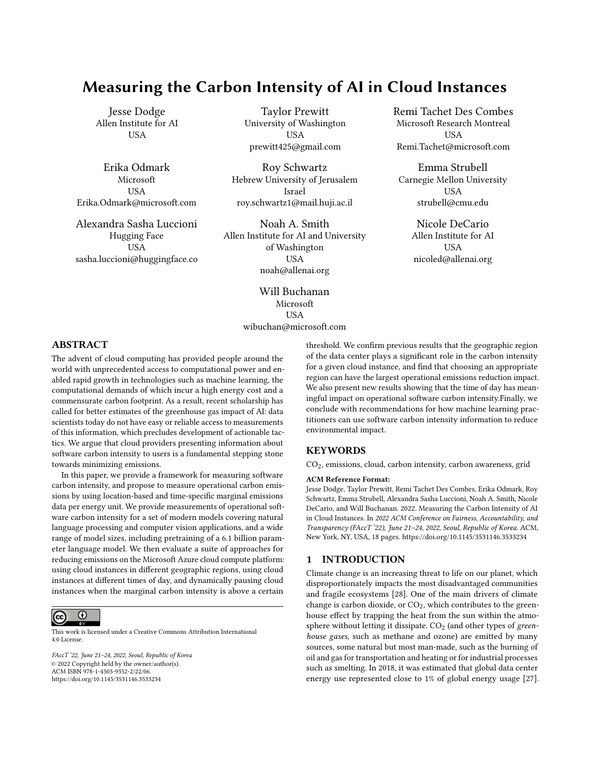- [39] Roy Schwartz, Jesse Dodge, Noah A Smith, and Oren Etzioni. 2020. Green AI. Commun. ACM 63, 12 (2020), 54–63.
- [40] Amazon Web Services. 2021. Sustainability in the Cloud. [https://sustainability.](https://sustainability.aboutamazon.com/environment/the-cloud) [aboutamazon.com/environment/the-cloud](https://sustainability.aboutamazon.com/environment/the-cloud)
- [41] Omar Shaikh, Jon Saad-Falcon, Austin P Wright, Nilaksh Das, Scott Freitas, Omar Asensio, and Duen Horng Chau. 2021. EnergyVis: Interactively Tracking and Exploring Energy Consumption for ML Models. Association for Computing Machinery, New York, NY, USA.<https://doi.org/10.1145/3411763.3451780>
- [42] Emma Strubell, Ananya Ganesh, and Andrew McCallum. 2019. Energy and policy considerations for deep learning in NLP. arXiv preprint arXiv:1906.02243 (2019).
- [43] Neil C Thompson, Kristjan Greenewald, Keeheon Lee, and Gabriel F Manso. 2020. The computational limits of deep learning. arXiv preprint arXiv:2007.05558 (2020).
- [44] Romal Thoppilan, Daniel De Freitas, Jamie Hall, Noam Shazeer, Apoorv Kulshreshtha, Heng-Tze Cheng, Alicia Jin, Taylor Bos, Leslie Baker, Yu Du, YaGuang Li, Hongrae Lee, Huaixiu Steven Zheng, Amin Ghafouri, Marcelo Menegali, Yanping Huang, Maxim Krikun, Dmitry Lepikhin, James Qin, Dehao Chen, Yuanzhong Xu, Zhifeng Chen, Adam Roberts, Maarten Bosma, Yanqi Zhou, Chung-Ching Chang, Igor Krivokon, Will Rusch, Marc Pickett, Kathleen Meier-Hellstern, Meredith Ringel Morris, Tulsee Doshi, Renelito Delos Santos, Toju Duke, Johnny Soraker, Ben Zevenbergen, Vinodkumar Prabhakaran, Mark Diaz, Ben Hutchinson, Kristen Olson, Alejandra Molina, Erin Hoffman-John, Josh Lee, Lora Aroyo, Ravi Rajakumar, Alena Butryna, Matthew Lamm, Viktoriya Kuzmina, Joe Fenton, Aaron Cohen, Rachel Bernstein, Ray Kurzweil, Blaise Aguera-Arcas, Claire Cui, Marian Croak, Ed Chi, and Quoc Le. 2022. LaMDA: Language Models for Dialog Applications. arXiv[:2201.08239](https://arxiv.org/abs/2201.08239) [cs.CL]
- [45] Georgina Torbet. 2019. How Much Energy Does Your PC Use? (And 8 Ways to Cut It Down).<https://www.makeuseof.com/tag/much-energy-pc-use-8-ways-cut/>
- [46] United States Environmental Protection Agency. 2021. Greenhouse Gas Equivalencies Calculator. [https://www.epa.gov/energy/greenhouse-gas-equivalencies](https://www.epa.gov/energy/greenhouse-gas-equivalencies-calculator)[calculator](https://www.epa.gov/energy/greenhouse-gas-equivalencies-calculator)
- [47] US Department of Energy. 2021. Energy-Efficient Cooling Control Systems for Data Centers. [https://www.energy.gov/eere/amo/energy-efficient-cooling](https://www.energy.gov/eere/amo/energy-efficient-cooling-control-systems-data-centers)[control-systems-data-centers](https://www.energy.gov/eere/amo/energy-efficient-cooling-control-systems-data-centers)
- [48] Adina Williams, Nikita Nangia, and Samuel R Bowman. 2017. A broad-coverage challenge corpus for sentence understanding through inference. arXiv preprint arXiv:1704.05426 (2017).
- [49] Carole-Jean Wu, Ramya Raghavendra, Udit Gupta, Bilge Acun, Newsha Ardalani, Kiwan Maeng, Gloria Chang, Fiona Aga Behram, James Huang, Charles Bai, et al . 2021. Sustainable ai: Environmental implications, challenges and opportunities. arXiv preprint arXiv:2111.00364 (2021).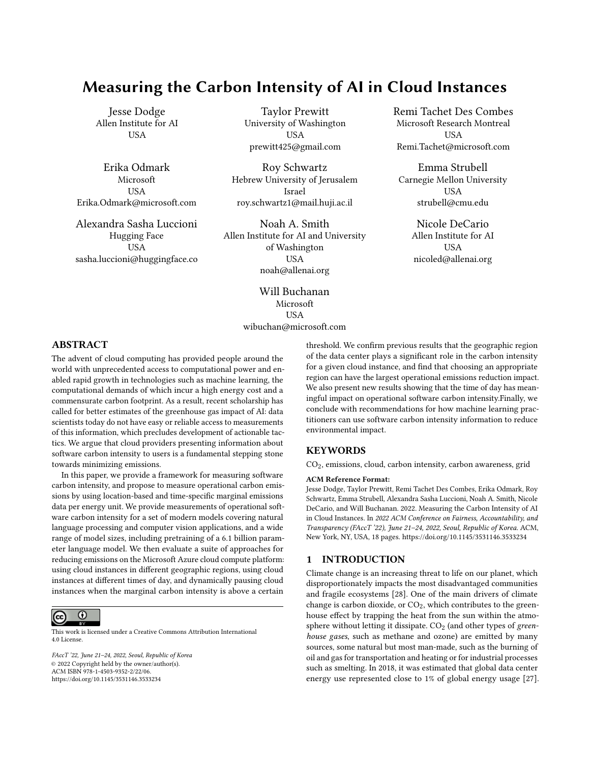# A ADDITIONAL PLOTS



## Figure 5: Optimization results for the training of BERT small on 8 V100s. Without optimization, the job ran for approximately 36 hours and consumed 37.3 kWh.

In Figures 5, 6, 7, 8, 9, 10, 11, 12, 13, 14 and 15, we report the decrease in CO<sub>2</sub> emissions (in percent) obtained when performing the two optimizations introduced in the main text for all 16 regions, all 11 models, averaged over the year and for various values of the N denoting the increase in job duration stemming from the optimization.



Figure 6: Optimization results for the finetuning of BERT small on the MNLI dataset, using 4 V100s. Without optimization, the job ran for approximately 6 hours and consumed 3.1 kWh.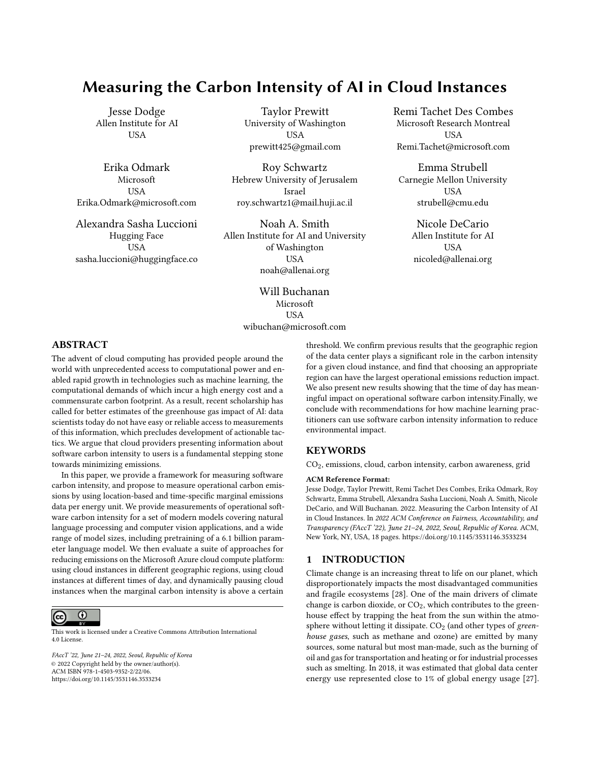0.2  $0.4 -$ 0.6 0.8 1.0 1.2 1.4

%<br>CO2 emissions decrease in .<br>CO2 emissions decrease in .





(a) Flexible Start optimization.

(b) Pause and Resume optimization.

Figure 7: Optimization results for the training of a 6B Parameter Transformer on 256 A100s. Without optimization, the job ran for approximately 8 days and consumed 13,812 kWh.



Figure 8: Optimization results for a DenseNet 121 trained on MNIST on 1 P40. Without optimization, the job ran for approximately 20 minutes and consumed 20 WH.



Figure 9: Optimization results for a DenseNet 169 trained on MNIST on 1 P40. Without optimization, the job ran for approximately 20 minutes and consumed 28 WH.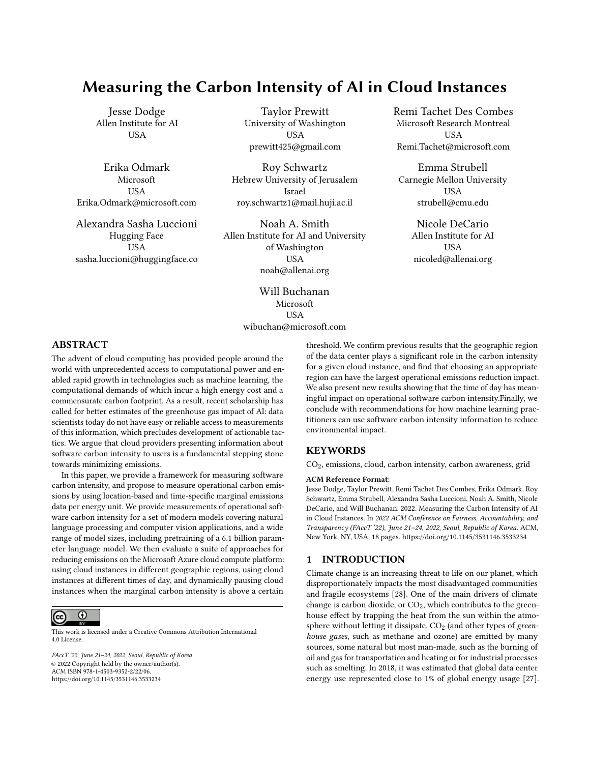

Figure 10: Optimization results for a DenseNet 201 trained on MNIST on 1 P40. Without optimization, the job ran for approximately 25 minutes and consumed 37 WH.



Figure 11: Optimization results for a Tiny ViT trained on 1 V100. Without optimization, the job ran for approximately 19 hours and consumed 1.7 kWh.



Figure 12: Optimization results for a Small ViT trained on 1 V100. Without optimization, the job ran for approximately 19 hours and consumed 2.2 kWh.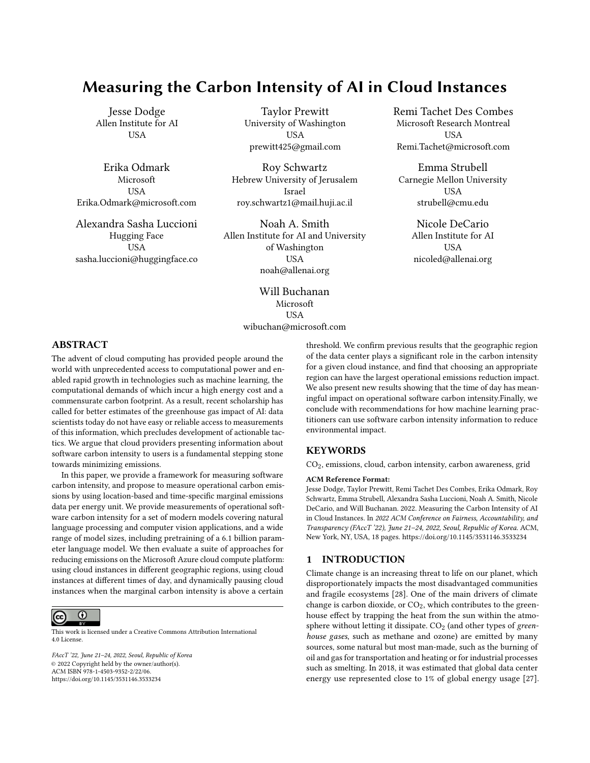

Figure 13: Optimization results for a Base ViT trained on 1 V100. Without optimization, the job ran for approximately 21 hours and consumed 4.7 kWh.



Figure 14: Optimization results for a Large ViT trained on 4 V100. Without optimization, the job ran for approximately 90 hours and consumed 93.3 kWh.



Figure 15: Optimization results for a Huge ViT trained on 4 V100. Without optimization, the job ran for approximately 9 days and consumed 237.6 kWh.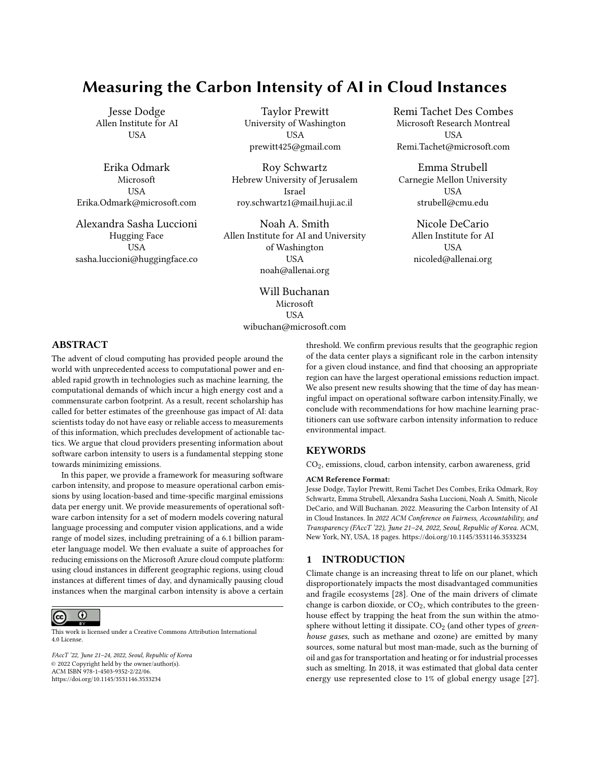## B ADDITIONAL TABLES

In Tables 6, 7, 8, 9, 10, 11, 12 and 13, we report the decrease in  $CO<sub>2</sub>$  emissions (in percent) obtained when performing the two optimizations introduced in the main text for all 11 models, averaged across the 16 regions we consider and over the year, for various values of the N denoting the increase in job duration stemming from the optimization.

| Model           | <b>BERT</b> | <b>BERT</b> | 6В      | Dense | Dense | Dense | ViT    | ViT     | ViT     | ViT     | ViT  |
|-----------------|-------------|-------------|---------|-------|-------|-------|--------|---------|---------|---------|------|
|                 | finetune    | LM          | Transf. | 121   | 169   | 201   | Tiny   | Small   | Base    | Large   | Huge |
| FS              | 1.9%        | 1.7%        | 0.8%    | 0.6%  | 0.4%  | 0.4%  | $.8\%$ | $1.8\%$ | $1.6\%$ | $1.3\%$ | 0.9% |
| P&R             | 3.1%        | 4.1%        | 4.5%    | 0.7%  | 0.6%  | 0.5%  | 4.5%   | 4.6%    | 4.4%    | 4.4%    | 4.5% |
| ʻhr<br>Pauses / | 0.45        | 0.25        | 0.22    | 2.2   | 2.4   | 2.4   | 0.28   | 0.29    | 0.28    | 0.22    | 0.21 |

Table 6: For the 11 models in our analysis: the gain in percent averaged over the year and across the 16 regions for the Flexible Start (FS) and Pause and Resume (P&R) optimizations allowing for a 25% increase in job duration. The last line represents the average number of pauses per hour performed by the P&R optimization.

| Model       | <b>BERT</b> | <b>BERT</b> | 6В      | Dense   | Dense   | Dense  | ViT  | ViT   | ViT  | ViT   | ViT  |
|-------------|-------------|-------------|---------|---------|---------|--------|------|-------|------|-------|------|
|             | finetune    | LM          | Transf. | 121     | 169     | 201    | Tiny | Small | Base | Large | Huge |
| FS          | 3.6%        | 2.9%        | 1.5%    | $1.0\%$ | $1.3\%$ | 1.2%   | 3.3% | 3.1%  | 2.5% | 2.1%  | 1.6% |
| P&R         | 5.5%        | 7.0%        | 7.4%    | 1.1%    | $1.5\%$ | $.6\%$ | 7.2% | 7.0%  | 7.0% | 7.3%  | 7.4% |
| Pauses / hr | 0.47        | 0.29        | 0.27    | 1.83    | 2.33    | 2.33   | 0.32 | 0.33  | 0.32 | 0.27  | 0.26 |

Table 7: For the 11 models in our analysis: the gain in percent averaged over the year and across the 16 regions for the Flexible Start (FS) and Pause and Resume (P&R) optimizations allowing for a 50% increase in job duration. The last line represents the average number of pauses per hour performed by the P&R optimization.

| Model       | <b>BERT</b> | <b>BERT</b> | 6В      | Dense   | Dense   | Dense   | ViT  | ViT   | ViT  | ViT   | ViT  |
|-------------|-------------|-------------|---------|---------|---------|---------|------|-------|------|-------|------|
|             | finetune    | LM          | Transf. | 121     | 169     | 201     | Tiny | Small | Base | Large | Huge |
| FS          | 5.4%        | 3.6%        | 2.0%    | $1.5\%$ | $1.7\%$ | $1.9\%$ | 4.2% | 4.0%  | 3.3% | 2.8%  | 2.2% |
| P&R         | 7.6%        | 9.2%        | 9.6%    | l.6%    | 2.0%    | 2.4%    | 9.2% | 9.3%  | 9.2% | 9.6%  | 9.6% |
| Pauses / hr | 0.45        | 0.3         | 0.27    | 1.71    | 2.0     | 2.14    | 0.33 | 0.33  | 0.32 | 0.28  | 0.26 |

Table 8: For the 11 models in our analysis: the gain in percent averaged over the year and across the 16 regions for the Flexible Start (FS) and Pause and Resume (P&R) optimizations allowing for a 75% increase in job duration. The last line represents the average number of pauses per hour performed by the P&R optimization.

| Model       | <b>BERT</b> | <b>BERT</b> | 6В      | Dense   | Dense | Dense | ViT   | ViT   | ViT   | ViT   | ViT   |
|-------------|-------------|-------------|---------|---------|-------|-------|-------|-------|-------|-------|-------|
|             | finetune    | LM          | Transf. | 121     | 169   | 201   | Tiny  | Small | Base  | Large | Huge  |
| FS          | 7.0%        | 4.1%        | 2.6%    | $1.8\%$ | 2.5%  | 2.7%  | 5.0%  | 4.8%  | 3.9%  | 3.3%  | 3.0%  |
| P&R         | 9.5%        | 11.0%       | 11.4%   | 2.0%    | 2.8%  | 3.1%  | 11.0% | 11.0% | 10.8% | 11.4% | 11.3% |
| Pauses / hr | 0.42        | 0.29        | 0.27    | 1.5     | 1.88  | 2.0   | 0.31  | 0.32  | 0.31  | 0.27  | 0.26  |

Table 9: For the 11 models in our analysis: the gain in percent averaged over the year and across the 16 regions for the Flexible Start (FS) and Pause and Resume (P&R) optimizations allowing for a 100% increase in job duration. The last line represents the average number of pauses per hour performed by the P&R optimization.